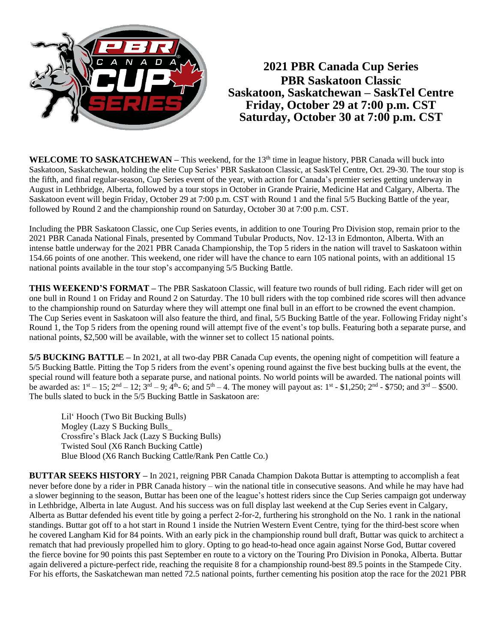

**2021 PBR Canada Cup Series PBR Saskatoon Classic Saskatoon, Saskatchewan – SaskTel Centre Friday, October 29 at 7:00 p.m. CST Saturday, October 30 at 7:00 p.m. CST**

**WELCOME TO SASKATCHEWAN – This weekend, for the 13<sup>th</sup> time in league history, PBR Canada will buck into** Saskatoon, Saskatchewan, holding the elite Cup Series' PBR Saskatoon Classic, at SaskTel Centre, Oct. 29-30. The tour stop is the fifth, and final regular-season, Cup Series event of the year, with action for Canada's premier series getting underway in August in Lethbridge, Alberta, followed by a tour stops in October in Grande Prairie, Medicine Hat and Calgary, Alberta. The Saskatoon event will begin Friday, October 29 at 7:00 p.m. CST with Round 1 and the final 5/5 Bucking Battle of the year, followed by Round 2 and the championship round on Saturday, October 30 at 7:00 p.m. CST.

Including the PBR Saskatoon Classic, one Cup Series events, in addition to one Touring Pro Division stop, remain prior to the 2021 PBR Canada National Finals, presented by Command Tubular Products, Nov. 12-13 in Edmonton, Alberta. With an intense battle underway for the 2021 PBR Canada Championship, the Top 5 riders in the nation will travel to Saskatoon within 154.66 points of one another. This weekend, one rider will have the chance to earn 105 national points, with an additional 15 national points available in the tour stop's accompanying 5/5 Bucking Battle.

**THIS WEEKEND'S FORMAT –** The PBR Saskatoon Classic, will feature two rounds of bull riding. Each rider will get on one bull in Round 1 on Friday and Round 2 on Saturday. The 10 bull riders with the top combined ride scores will then advance to the championship round on Saturday where they will attempt one final bull in an effort to be crowned the event champion. The Cup Series event in Saskatoon will also feature the third, and final, 5/5 Bucking Battle of the year. Following Friday night's Round 1, the Top 5 riders from the opening round will attempt five of the event's top bulls. Featuring both a separate purse, and national points, \$2,500 will be available, with the winner set to collect 15 national points.

**5/5 BUCKING BATTLE –** In 2021, at all two-day PBR Canada Cup events, the opening night of competition will feature a 5/5 Bucking Battle. Pitting the Top 5 riders from the event's opening round against the five best bucking bulls at the event, the special round will feature both a separate purse, and national points. No world points will be awarded. The national points will be awarded as:  $1^{st} - 15$ ;  $2^{nd} - 12$ ;  $3^{rd} - 9$ ;  $4^{th}$ - 6; and  $5^{th} - 4$ . The money will payout as:  $1^{st}$  - \$1,250;  $2^{nd}$  - \$750; and  $3^{rd}$  - \$500. The bulls slated to buck in the 5/5 Bucking Battle in Saskatoon are:

Lil' Hooch (Two Bit Bucking Bulls) Mogley (Lazy S Bucking Bulls\_ Crossfire's Black Jack (Lazy S Bucking Bulls) Twisted Soul (X6 Ranch Bucking Cattle) Blue Blood (X6 Ranch Bucking Cattle/Rank Pen Cattle Co.)

**BUTTAR SEEKS HISTORY –** In 2021, reigning PBR Canada Champion Dakota Buttar is attempting to accomplish a feat never before done by a rider in PBR Canada history – win the national title in consecutive seasons. And while he may have had a slower beginning to the season, Buttar has been one of the league's hottest riders since the Cup Series campaign got underway in Lethbridge, Alberta in late August. And his success was on full display last weekend at the Cup Series event in Calgary, Alberta as Buttar defended his event title by going a perfect 2-for-2, furthering his stronghold on the No. 1 rank in the national standings. Buttar got off to a hot start in Round 1 inside the Nutrien Western Event Centre, tying for the third-best score when he covered Langham Kid for 84 points. With an early pick in the championship round bull draft, Buttar was quick to architect a rematch that had previously propelled him to glory. Opting to go head-to-head once again against Norse God, Buttar covered the fierce bovine for 90 points this past September en route to a victory on the Touring Pro Division in Ponoka, Alberta. Buttar again delivered a picture-perfect ride, reaching the requisite 8 for a championship round-best 89.5 points in the Stampede City. For his efforts, the Saskatchewan man netted 72.5 national points, further cementing his position atop the race for the 2021 PBR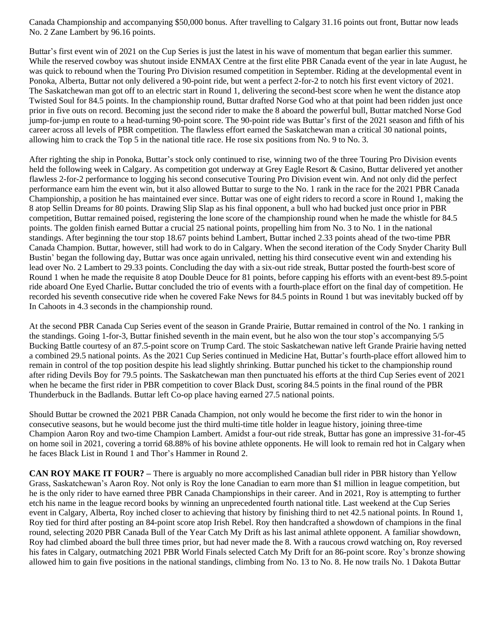Canada Championship and accompanying \$50,000 bonus. After travelling to Calgary 31.16 points out front, Buttar now leads No. 2 Zane Lambert by 96.16 points.

Buttar's first event win of 2021 on the Cup Series is just the latest in his wave of momentum that began earlier this summer. While the reserved cowboy was shutout inside ENMAX Centre at the first elite PBR Canada event of the year in late August, he was quick to rebound when the Touring Pro Division resumed competition in September. Riding at the developmental event in Ponoka, Alberta, Buttar not only delivered a 90-point ride, but went a perfect 2-for-2 to notch his first event victory of 2021. The Saskatchewan man got off to an electric start in Round 1, delivering the second-best score when he went the distance atop Twisted Soul for 84.5 points. In the championship round, Buttar drafted Norse God who at that point had been ridden just once prior in five outs on record. Becoming just the second rider to make the 8 aboard the powerful bull, Buttar matched Norse God jump-for-jump en route to a head-turning 90-point score. The 90-point ride was Buttar's first of the 2021 season and fifth of his career across all levels of PBR competition. The flawless effort earned the Saskatchewan man a critical 30 national points, allowing him to crack the Top 5 in the national title race. He rose six positions from No. 9 to No. 3.

After righting the ship in Ponoka, Buttar's stock only continued to rise, winning two of the three Touring Pro Division events held the following week in Calgary. As competition got underway at Grey Eagle Resort & Casino, Buttar delivered yet another flawless 2-for-2 performance to logging his second consecutive Touring Pro Division event win. And not only did the perfect performance earn him the event win, but it also allowed Buttar to surge to the No. 1 rank in the race for the 2021 PBR Canada Championship, a position he has maintained ever since. Buttar was one of eight riders to record a score in Round 1, making the 8 atop Sellin Dreams for 80 points. Drawing Slip Slap as his final opponent, a bull who had bucked just once prior in PBR competition, Buttar remained poised, registering the lone score of the championship round when he made the whistle for 84.5 points. The golden finish earned Buttar a crucial 25 national points, propelling him from No. 3 to No. 1 in the national standings. After beginning the tour stop 18.67 points behind Lambert, Buttar inched 2.33 points ahead of the two-time PBR Canada Champion. Buttar, however, still had work to do in Calgary. When the second iteration of the Cody Snyder Charity Bull Bustin' began the following day, Buttar was once again unrivaled, netting his third consecutive event win and extending his lead over No. 2 Lambert to 29.33 points. Concluding the day with a six-out ride streak, Buttar posted the fourth-best score of Round 1 when he made the requisite 8 atop Double Deuce for 81 points, before capping his efforts with an event-best 89.5-point ride aboard One Eyed Charlie**.** Buttar concluded the trio of events with a fourth-place effort on the final day of competition. He recorded his seventh consecutive ride when he covered Fake News for 84.5 points in Round 1 but was inevitably bucked off by In Cahoots in 4.3 seconds in the championship round.

At the second PBR Canada Cup Series event of the season in Grande Prairie, Buttar remained in control of the No. 1 ranking in the standings. Going 1-for-3, Buttar finished seventh in the main event, but he also won the tour stop's accompanying 5/5 Bucking Battle courtesy of an 87.5-point score on Trump Card. The stoic Saskatchewan native left Grande Prairie having netted a combined 29.5 national points. As the 2021 Cup Series continued in Medicine Hat, Buttar's fourth-place effort allowed him to remain in control of the top position despite his lead slightly shrinking. Buttar punched his ticket to the championship round after riding Devils Boy for 79.5 points. The Saskatchewan man then punctuated his efforts at the third Cup Series event of 2021 when he became the first rider in PBR competition to cover Black Dust, scoring 84.5 points in the final round of the PBR Thunderbuck in the Badlands. Buttar left Co-op place having earned 27.5 national points.

Should Buttar be crowned the 2021 PBR Canada Champion, not only would he become the first rider to win the honor in consecutive seasons, but he would become just the third multi-time title holder in league history, joining three-time Champion Aaron Roy and two-time Champion Lambert. Amidst a four-out ride streak, Buttar has gone an impressive 31-for-45 on home soil in 2021, covering a torrid 68.88% of his bovine athlete opponents. He will look to remain red hot in Calgary when he faces Black List in Round 1 and Thor's Hammer in Round 2.

**CAN ROY MAKE IT FOUR? –** There is arguably no more accomplished Canadian bull rider in PBR history than Yellow Grass, Saskatchewan's Aaron Roy. Not only is Roy the lone Canadian to earn more than \$1 million in league competition, but he is the only rider to have earned three PBR Canada Championships in their career. And in 2021, Roy is attempting to further etch his name in the league record books by winning an unprecedented fourth national title. Last weekend at the Cup Series event in Calgary, Alberta, Roy inched closer to achieving that history by finishing third to net 42.5 national points. In Round 1, Roy tied for third after posting an 84-point score atop Irish Rebel. Roy then handcrafted a showdown of champions in the final round, selecting 2020 PBR Canada Bull of the Year Catch My Drift as his last animal athlete opponent. A familiar showdown, Roy had climbed aboard the bull three times prior, but had never made the 8. With a raucous crowd watching on, Roy reversed his fates in Calgary, outmatching 2021 PBR World Finals selected Catch My Drift for an 86-point score. Roy's bronze showing allowed him to gain five positions in the national standings, climbing from No. 13 to No. 8. He now trails No. 1 Dakota Buttar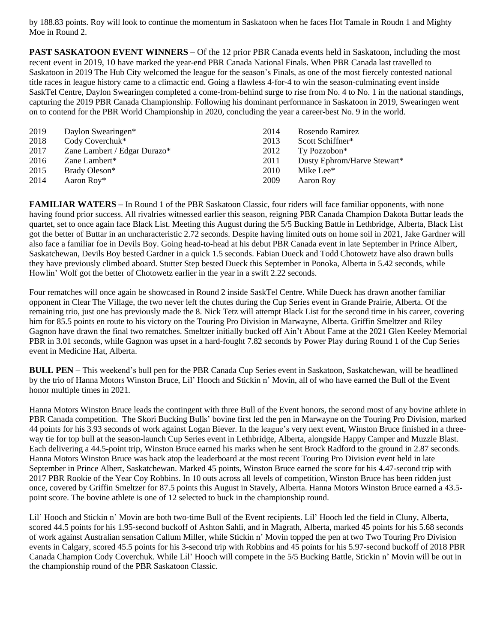by 188.83 points. Roy will look to continue the momentum in Saskatoon when he faces Hot Tamale in Roudn 1 and Mighty Moe in Round 2.

**PAST SASKATOON EVENT WINNERS –** Of the 12 prior PBR Canada events held in Saskatoon, including the most recent event in 2019, 10 have marked the year-end PBR Canada National Finals. When PBR Canada last travelled to Saskatoon in 2019 The Hub City welcomed the league for the season's Finals, as one of the most fiercely contested national title races in league history came to a climactic end. Going a flawless 4-for-4 to win the season-culminating event inside SaskTel Centre, Daylon Swearingen completed a come-from-behind surge to rise from No. 4 to No. 1 in the national standings, capturing the 2019 PBR Canada Championship. Following his dominant performance in Saskatoon in 2019, Swearingen went on to contend for the PBR World Championship in 2020, concluding the year a career-best No. 9 in the world.

| 2019<br>2018 | Daylon Swearingen*<br>Cody Coverchuk* | 2014<br>2013 | Rosendo Ramirez<br>Scott Schiffner* |
|--------------|---------------------------------------|--------------|-------------------------------------|
| 2017         | Zane Lambert / Edgar Durazo*          | 2012         | Ty Pozzobon*                        |
| 2016         | Zane Lambert*                         | 2011         | Dusty Ephrom/Harve Stewart*         |
| 2015         | Brady Oleson*                         | 2010         | Mike Lee*                           |
| 2014         | Aaron Roy <sup>*</sup>                | 2009         | Aaron Roy                           |

**FAMILIAR WATERS** – In Round 1 of the PBR Saskatoon Classic, four riders will face familiar opponents, with none having found prior success. All rivalries witnessed earlier this season, reigning PBR Canada Champion Dakota Buttar leads the quartet, set to once again face Black List. Meeting this August during the 5/5 Bucking Battle in Lethbridge, Alberta, Black List got the better of Buttar in an uncharacteristic 2.72 seconds. Despite having limited outs on home soil in 2021, Jake Gardner will also face a familiar foe in Devils Boy. Going head-to-head at his debut PBR Canada event in late September in Prince Albert, Saskatchewan, Devils Boy bested Gardner in a quick 1.5 seconds. Fabian Dueck and Todd Chotowetz have also drawn bulls they have previously climbed aboard. Stutter Step bested Dueck this September in Ponoka, Alberta in 5.42 seconds, while Howlin' Wolf got the better of Chotowetz earlier in the year in a swift 2.22 seconds.

Four rematches will once again be showcased in Round 2 inside SaskTel Centre. While Dueck has drawn another familiar opponent in Clear The Village, the two never left the chutes during the Cup Series event in Grande Prairie, Alberta. Of the remaining trio, just one has previously made the 8. Nick Tetz will attempt Black List for the second time in his career, covering him for 85.5 points en route to his victory on the Touring Pro Division in Marwayne, Alberta. Griffin Smeltzer and Riley Gagnon have drawn the final two rematches. Smeltzer initially bucked off Ain't About Fame at the 2021 Glen Keeley Memorial PBR in 3.01 seconds, while Gagnon was upset in a hard-fought 7.82 seconds by Power Play during Round 1 of the Cup Series event in Medicine Hat, Alberta.

**BULL PEN** – This weekend's bull pen for the PBR Canada Cup Series event in Saskatoon, Saskatchewan, will be headlined by the trio of Hanna Motors Winston Bruce, Lil' Hooch and Stickin n' Movin, all of who have earned the Bull of the Event honor multiple times in 2021.

Hanna Motors Winston Bruce leads the contingent with three Bull of the Event honors, the second most of any bovine athlete in PBR Canada competition. The Skori Bucking Bulls' bovine first led the pen in Marwayne on the Touring Pro Division, marked 44 points for his 3.93 seconds of work against Logan Biever. In the league's very next event, Winston Bruce finished in a threeway tie for top bull at the season-launch Cup Series event in Lethbridge, Alberta, alongside Happy Camper and Muzzle Blast. Each delivering a 44.5-point trip, Winston Bruce earned his marks when he sent Brock Radford to the ground in 2.87 seconds. Hanna Motors Winston Bruce was back atop the leaderboard at the most recent Touring Pro Division event held in late September in Prince Albert, Saskatchewan. Marked 45 points, Winston Bruce earned the score for his 4.47-second trip with 2017 PBR Rookie of the Year Coy Robbins. In 10 outs across all levels of competition, Winston Bruce has been ridden just once, covered by Griffin Smeltzer for 87.5 points this August in Stavely, Alberta. Hanna Motors Winston Bruce earned a 43.5 point score. The bovine athlete is one of 12 selected to buck in the championship round.

Lil' Hooch and Stickin n' Movin are both two-time Bull of the Event recipients. Lil' Hooch led the field in Cluny, Alberta, scored 44.5 points for his 1.95-second buckoff of Ashton Sahli, and in Magrath, Alberta, marked 45 points for his 5.68 seconds of work against Australian sensation Callum Miller, while Stickin n' Movin topped the pen at two Two Touring Pro Division events in Calgary, scored 45.5 points for his 3-second trip with Robbins and 45 points for his 5.97-second buckoff of 2018 PBR Canada Champion Cody Coverchuk. While Lil' Hooch will compete in the 5/5 Bucking Battle, Stickin n' Movin will be out in the championship round of the PBR Saskatoon Classic.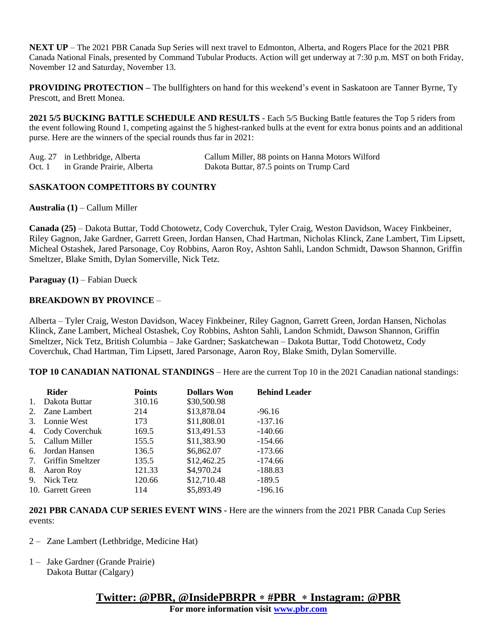**NEXT UP** – The 2021 PBR Canada Sup Series will next travel to Edmonton, Alberta, and Rogers Place for the 2021 PBR Canada National Finals, presented by Command Tubular Products. Action will get underway at 7:30 p.m. MST on both Friday, November 12 and Saturday, November 13.

**PROVIDING PROTECTION –** The bullfighters on hand for this weekend's event in Saskatoon are Tanner Byrne, Ty Prescott, and Brett Monea.

**2021 5/5 BUCKING BATTLE SCHEDULE AND RESULTS** - Each 5/5 Bucking Battle features the Top 5 riders from the event following Round 1, competing against the 5 highest-ranked bulls at the event for extra bonus points and an additional purse. Here are the winners of the special rounds thus far in 2021:

|        | Aug. 27 in Lethbridge, Alberta | Callum Miller, 88 points on Hanna Motors Wilford |
|--------|--------------------------------|--------------------------------------------------|
| Oct. 1 | in Grande Prairie, Alberta     | Dakota Buttar, 87.5 points on Trump Card         |

### **SASKATOON COMPETITORS BY COUNTRY**

**Australia (1)** – Callum Miller

**Canada (25)** – Dakota Buttar, Todd Chotowetz, Cody Coverchuk, Tyler Craig, Weston Davidson, Wacey Finkbeiner, Riley Gagnon, Jake Gardner, Garrett Green, Jordan Hansen, Chad Hartman, Nicholas Klinck, Zane Lambert, Tim Lipsett, Micheal Ostashek, Jared Parsonage, Coy Robbins, Aaron Roy, Ashton Sahli, Landon Schmidt, Dawson Shannon, Griffin Smeltzer, Blake Smith, Dylan Somerville, Nick Tetz.

**Paraguay (1)** – Fabian Dueck

#### **BREAKDOWN BY PROVINCE** –

Alberta – Tyler Craig, Weston Davidson, Wacey Finkbeiner, Riley Gagnon, Garrett Green, Jordan Hansen, Nicholas Klinck, Zane Lambert, Micheal Ostashek, Coy Robbins, Ashton Sahli, Landon Schmidt, Dawson Shannon, Griffin Smeltzer, Nick Tetz, British Columbia – Jake Gardner; Saskatchewan – Dakota Buttar, Todd Chotowetz, Cody Coverchuk, Chad Hartman, Tim Lipsett, Jared Parsonage, Aaron Roy, Blake Smith, Dylan Somerville.

**TOP 10 CANADIAN NATIONAL STANDINGS** – Here are the current Top 10 in the 2021 Canadian national standings:

|    | <b>Rider</b>            | <b>Points</b> | <b>Dollars Won</b> | <b>Behind Leader</b> |
|----|-------------------------|---------------|--------------------|----------------------|
| 1. | Dakota Buttar           | 310.16        | \$30,500.98        |                      |
| 2. | Zane Lambert            | 214           | \$13,878.04        | $-96.16$             |
| 3. | Lonnie West             | 173           | \$11,808.01        | $-137.16$            |
| 4. | Cody Coverchuk          | 169.5         | \$13,491.53        | $-140.66$            |
| 5. | Callum Miller           | 155.5         | \$11,383.90        | $-154.66$            |
| 6. | Jordan Hansen           | 136.5         | \$6,862.07         | $-173.66$            |
| 7. | <b>Griffin Smeltzer</b> | 135.5         | \$12,462.25        | $-174.66$            |
| 8. | Aaron Roy               | 121.33        | \$4,970.24         | $-188.83$            |
| 9. | Nick Tetz               | 120.66        | \$12,710.48        | $-189.5$             |
|    | 10. Garrett Green       | 114           | \$5,893.49         | $-196.16$            |
|    |                         |               |                    |                      |

**2021 PBR CANADA CUP SERIES EVENT WINS -** Here are the winners from the 2021 PBR Canada Cup Series events:

- 2 Zane Lambert (Lethbridge, Medicine Hat)
- 1 Jake Gardner (Grande Prairie) Dakota Buttar (Calgary)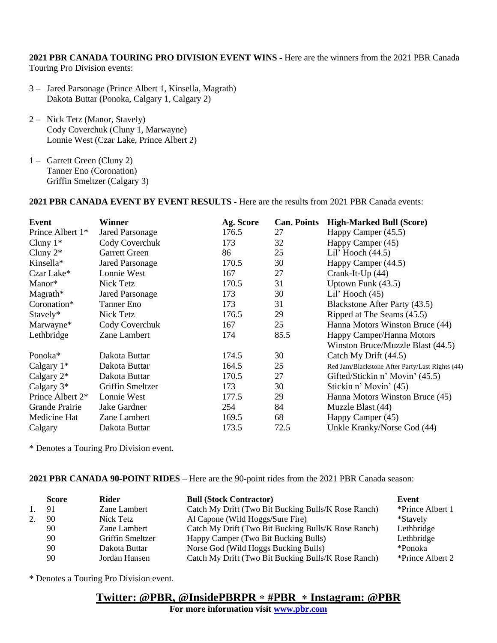**2021 PBR CANADA TOURING PRO DIVISION EVENT WINS -** Here are the winners from the 2021 PBR Canada Touring Pro Division events:

- 3 Jared Parsonage (Prince Albert 1, Kinsella, Magrath) Dakota Buttar (Ponoka, Calgary 1, Calgary 2)
- 2 Nick Tetz (Manor, Stavely) Cody Coverchuk (Cluny 1, Marwayne) Lonnie West (Czar Lake, Prince Albert 2)
- 1 Garrett Green (Cluny 2) Tanner Eno (Coronation) Griffin Smeltzer (Calgary 3)

**2021 PBR CANADA EVENT BY EVENT RESULTS -** Here are the results from 2021 PBR Canada events:

| Event                        | <b>Winner</b>           | Ag. Score | <b>Can. Points</b> | <b>High-Marked Bull (Score)</b>                 |
|------------------------------|-------------------------|-----------|--------------------|-------------------------------------------------|
| Prince Albert 1 <sup>*</sup> | <b>Jared Parsonage</b>  | 176.5     | 27                 | Happy Camper (45.5)                             |
| Cluny $1^*$                  | Cody Coverchuk          | 173       | 32                 | Happy Camper (45)                               |
| Cluny $2^*$                  | Garrett Green           | 86        | 25                 | Lil' Hooch $(44.5)$                             |
| Kinsella*                    | <b>Jared Parsonage</b>  | 170.5     | 30                 | Happy Camper (44.5)                             |
| Czar Lake*                   | Lonnie West             | 167       | 27                 | Crank-It-Up (44)                                |
| Manor*                       | Nick Tetz               | 170.5     | 31                 | Uptown Funk (43.5)                              |
| $M$ agrath*                  | <b>Jared Parsonage</b>  | 173       | 30                 | Lil' Hooch $(45)$                               |
| Coronation*                  | Tanner Eno              | 173       | 31                 | Blackstone After Party (43.5)                   |
| Stavely*                     | Nick Tetz               | 176.5     | 29                 | Ripped at The Seams (45.5)                      |
| Marwayne*                    | Cody Coverchuk          | 167       | 25                 | Hanna Motors Winston Bruce (44)                 |
| Lethbridge                   | Zane Lambert            | 174       | 85.5               | Happy Camper/Hanna Motors                       |
|                              |                         |           |                    | Winston Bruce/Muzzle Blast (44.5)               |
| Ponoka*                      | Dakota Buttar           | 174.5     | 30                 | Catch My Drift (44.5)                           |
| Calgary $1*$                 | Dakota Buttar           | 164.5     | 25                 | Red Jam/Blackstone After Party/Last Rights (44) |
| Calgary $2^*$                | Dakota Buttar           | 170.5     | 27                 | Gifted/Stickin n' Movin' (45.5)                 |
| Calgary $3*$                 | <b>Griffin Smeltzer</b> | 173       | 30                 | Stickin n' Movin' (45)                          |
| Prince Albert 2*             | Lonnie West             | 177.5     | 29                 | Hanna Motors Winston Bruce (45)                 |
| Grande Prairie               | Jake Gardner            | 254       | 84                 | Muzzle Blast (44)                               |
| Medicine Hat                 | Zane Lambert            | 169.5     | 68                 | Happy Camper (45)                               |
| Calgary                      | Dakota Buttar           | 173.5     | 72.5               | Unkle Kranky/Norse God (44)                     |

\* Denotes a Touring Pro Division event.

### **2021 PBR CANADA 90-POINT RIDES** – Here are the 90-point rides from the 2021 PBR Canada season:

|    | Score | <b>Rider</b>            | <b>Bull (Stock Contractor)</b>                      | Event            |
|----|-------|-------------------------|-----------------------------------------------------|------------------|
| 1. | 91    | Zane Lambert            | Catch My Drift (Two Bit Bucking Bulls/K Rose Ranch) | *Prince Albert 1 |
|    | 90    | Nick Tetz               | Al Capone (Wild Hoggs/Sure Fire)                    | *Stavely         |
|    | 90    | Zane Lambert            | Catch My Drift (Two Bit Bucking Bulls/K Rose Ranch) | Lethbridge       |
|    | 90    | <b>Griffin Smeltzer</b> | Happy Camper (Two Bit Bucking Bulls)                | Lethbridge       |
|    | 90    | Dakota Buttar           | Norse God (Wild Hoggs Bucking Bulls)                | *Ponoka          |
|    | 90    | Jordan Hansen           | Catch My Drift (Two Bit Bucking Bulls/K Rose Ranch) | *Prince Albert 2 |

\* Denotes a Touring Pro Division event.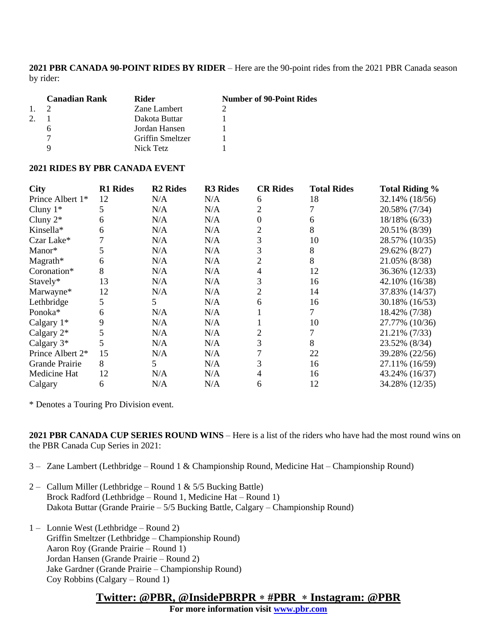**2021 PBR CANADA 90-POINT RIDES BY RIDER** – Here are the 90-point rides from the 2021 PBR Canada season by rider:

|                | <b>Canadian Rank</b> | Rider            | <b>Number of 90-Point Rides</b> |
|----------------|----------------------|------------------|---------------------------------|
| $\mathbf{1}$ . |                      | Zane Lambert     |                                 |
|                |                      | Dakota Buttar    |                                 |
|                |                      | Jordan Hansen    |                                 |
|                |                      | Griffin Smeltzer |                                 |
|                |                      | Nick Tetz        |                                 |

#### **2021 RIDES BY PBR CANADA EVENT**

| <b>City</b>                  | <b>R1 Rides</b> | <b>R2</b> Rides | <b>R3 Rides</b> | <b>CR Rides</b> | <b>Total Rides</b> | <b>Total Riding %</b> |
|------------------------------|-----------------|-----------------|-----------------|-----------------|--------------------|-----------------------|
| Prince Albert 1 <sup>*</sup> | 12              | N/A             | N/A             | 6               | 18                 | 32.14% (18/56)        |
| Cluny $1*$                   | 5               | N/A             | N/A             |                 |                    | 20.58% (7/34)         |
| Cluny $2^*$                  | 6               | N/A             | N/A             |                 | 6                  | 18/18% (6/33)         |
| Kinsella*                    | 6               | N/A             | N/A             | 2               | 8                  | 20.51% (8/39)         |
| Czar Lake*                   |                 | N/A             | N/A             | 3               | 10                 | 28.57% (10/35)        |
| Manor*                       |                 | N/A             | N/A             | 3               | 8                  | 29.62% (8/27)         |
| $Magneth*$                   | 6               | N/A             | N/A             |                 | 8                  | 21.05% (8/38)         |
| Coronation*                  | 8               | N/A             | N/A             | 4               | 12                 | 36.36% (12/33)        |
| Stavely*                     | 13              | N/A             | N/A             | 3               | 16                 | 42.10% (16/38)        |
| Marwayne*                    | 12              | N/A             | N/A             |                 | 14                 | 37.83% (14/37)        |
| Lethbridge                   | 5               | 5.              | N/A             | 6               | 16                 | 30.18% (16/53)        |
| Ponoka <sup>*</sup>          | 6               | N/A             | N/A             |                 |                    | 18.42% (7/38)         |
| Calgary 1*                   | 9               | N/A             | N/A             |                 | 10                 | 27.77% (10/36)        |
| Calgary $2*$                 | 5               | N/A             | N/A             |                 |                    | 21.21% (7/33)         |
| Calgary $3*$                 | 5               | N/A             | N/A             |                 | 8                  | 23.52% (8/34)         |
| Prince Albert 2*             | 15              | N/A             | N/A             |                 | 22                 | 39.28% (22/56)        |
| Grande Prairie               | 8               | 5               | N/A             |                 | 16                 | 27.11% (16/59)        |
| Medicine Hat                 | 12              | N/A             | N/A             |                 | 16                 | 43.24% (16/37)        |
| Calgary                      | 6               | N/A             | N/A             | 6               | 12                 | 34.28% (12/35)        |

\* Denotes a Touring Pro Division event.

**2021 PBR CANADA CUP SERIES ROUND WINS** – Here is a list of the riders who have had the most round wins on the PBR Canada Cup Series in 2021:

3 – Zane Lambert (Lethbridge – Round 1 & Championship Round, Medicine Hat – Championship Round)

- 2 Callum Miller (Lethbridge Round 1 &  $5/5$  Bucking Battle) Brock Radford (Lethbridge – Round 1, Medicine Hat – Round 1) Dakota Buttar (Grande Prairie – 5/5 Bucking Battle, Calgary – Championship Round)
- 1 Lonnie West (Lethbridge Round 2) Griffin Smeltzer (Lethbridge – Championship Round) Aaron Roy (Grande Prairie – Round 1) Jordan Hansen (Grande Prairie – Round 2) Jake Gardner (Grande Prairie – Championship Round) Coy Robbins (Calgary – Round 1)

## **Twitter: @PBR, @InsidePBRPR #PBR Instagram: @PBR**

**For more information visit [www.pbr.com](http://www.pbr.com/)**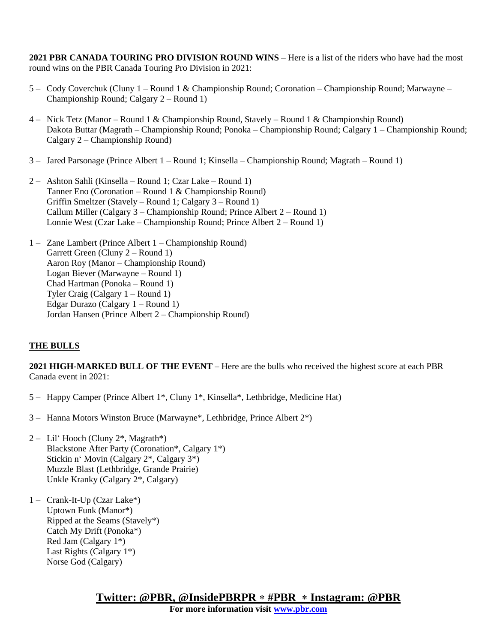**2021 PBR CANADA TOURING PRO DIVISION ROUND WINS** – Here is a list of the riders who have had the most round wins on the PBR Canada Touring Pro Division in 2021:

- 5 Cody Coverchuk (Cluny 1 Round 1 & Championship Round; Coronation Championship Round; Marwayne Championship Round; Calgary 2 – Round 1)
- 4 Nick Tetz (Manor Round 1 & Championship Round, Stavely Round 1 & Championship Round) Dakota Buttar (Magrath – Championship Round; Ponoka – Championship Round; Calgary 1 – Championship Round; Calgary 2 – Championship Round)
- 3 Jared Parsonage (Prince Albert 1 Round 1; Kinsella Championship Round; Magrath Round 1)
- 2 Ashton Sahli (Kinsella Round 1; Czar Lake Round 1) Tanner Eno (Coronation – Round 1 & Championship Round) Griffin Smeltzer (Stavely – Round 1; Calgary 3 – Round 1) Callum Miller (Calgary 3 – Championship Round; Prince Albert 2 – Round 1) Lonnie West (Czar Lake – Championship Round; Prince Albert 2 – Round 1)
- 1 Zane Lambert (Prince Albert 1 Championship Round) Garrett Green (Cluny 2 – Round 1) Aaron Roy (Manor – Championship Round) Logan Biever (Marwayne – Round 1) Chad Hartman (Ponoka – Round 1) Tyler Craig (Calgary 1 – Round 1) Edgar Durazo (Calgary 1 – Round 1) Jordan Hansen (Prince Albert 2 – Championship Round)

### **THE BULLS**

**2021 HIGH-MARKED BULL OF THE EVENT** – Here are the bulls who received the highest score at each PBR Canada event in 2021:

- 5 Happy Camper (Prince Albert 1\*, Cluny 1\*, Kinsella\*, Lethbridge, Medicine Hat)
- 3 Hanna Motors Winston Bruce (Marwayne\*, Lethbridge, Prince Albert 2\*)
- 2 Lil' Hooch (Cluny  $2^*$ , Magrath\*) Blackstone After Party (Coronation\*, Calgary 1\*) Stickin n' Movin (Calgary 2\*, Calgary 3\*) Muzzle Blast (Lethbridge, Grande Prairie) Unkle Kranky (Calgary 2\*, Calgary)
- 1 Crank-It-Up (Czar Lake\*) Uptown Funk (Manor\*) Ripped at the Seams (Stavely\*) Catch My Drift (Ponoka\*) Red Jam (Calgary 1\*) Last Rights (Calgary 1\*) Norse God (Calgary)